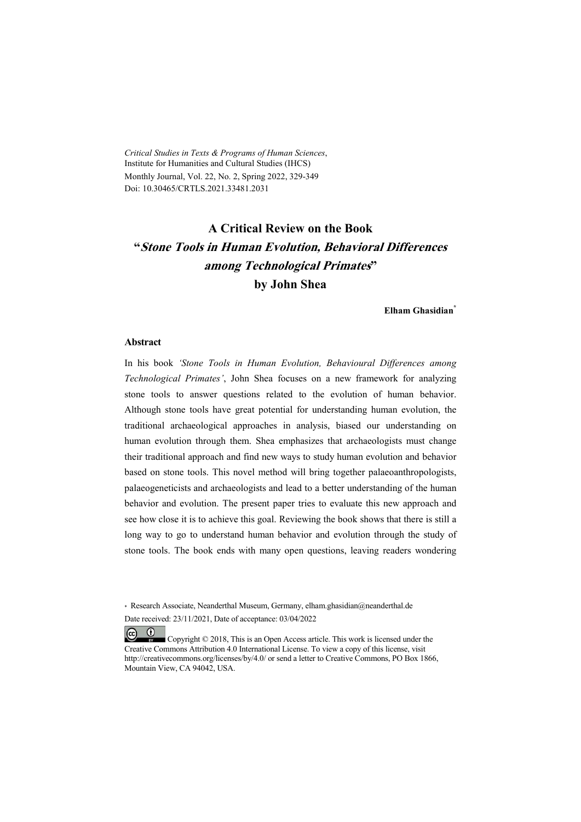*Critical Studies in Texts & Programs of Human Sciences*, Institute for Humanities and Cultural Studies (IHCS) Monthly Journal, Vol. 22, No. 2, Spring 2022, 329-349 Doi: 10.30465/CRTLS.2021.33481.2031

# **A Critical Review on the Book "Stone Tools in Human Evolution, Behavioral Differences among Technological Primates" by John Shea**

**Elham Ghasidian\***

#### **Abstract**

In his book *'Stone Tools in Human Evolution, Behavioural Differences among Technological Primates'*, John Shea focuses on a new framework for analyzing stone tools to answer questions related to the evolution of human behavior. Although stone tools have great potential for understanding human evolution, the traditional archaeological approaches in analysis, biased our understanding on human evolution through them. Shea emphasizes that archaeologists must change their traditional approach and find new ways to study human evolution and behavior based on stone tools. This novel method will bring together palaeoanthropologists, palaeogeneticists and archaeologists and lead to a better understanding of the human behavior and evolution. The present paper tries to evaluate this new approach and see how close it is to achieve this goal. Reviewing the book shows that there is still a long way to go to understand human behavior and evolution through the study of stone tools. The book ends with many open questions, leaving readers wondering

\* Research Associate, Neanderthal Museum, Germany, elham.ghasidian@neanderthal.de Date received: 23/11/2021, Date of acceptance: 03/04/2022

 $(c)$  $\omega$  Copyright © 2018, This is an Open Access article. This work is licensed under the Creative Commons Attribution 4.0 International License. To view a copy of this license, visit http://creativecommons.org/licenses/by/4.0/ or send a letter to Creative Commons, PO Box 1866, Mountain View, CA 94042, USA.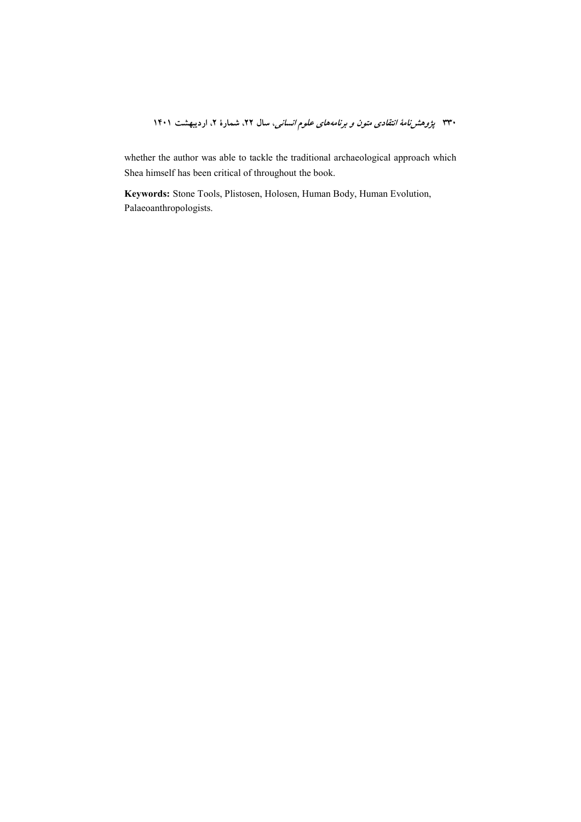whether the author was able to tackle the traditional archaeological approach which Shea himself has been critical of throughout the book.

Keywords: Stone Tools, Plistosen, Holosen, Human Body, Human Evolution, Palaeoanthropologists.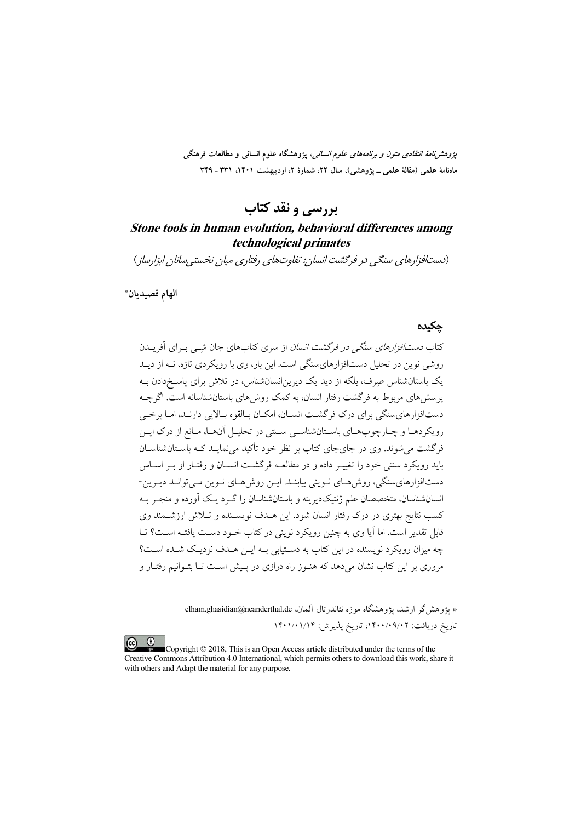*پژوهشنامهٔ انتقادی متون و برنامههای علوم انسانی،* پژوهشگاه علوم انسانی و مطالعات فرهنگی ماهنامهٔ علمی (مقالهٔ علمی ــ یژوهشی)، سال ۲۲، شمارهٔ ۲، اردیبهشت ۱۴۰۱، ۳۳۱ ـ ۳۴۹

## بررسی و نقد کتاب

## Stone tools in human evolution, behavioral differences among technological primates

(دستافزارهای سنگی در فرگشت انسان: تفاوتهای رفتاری میان نخستی سانان ابزارساز)

الهام قصيديان\*

### جكيده

کتاب *دستافزارهای سنگی در فرگشت انسان* از سری کتابهای جان شبی بـرای آفریــدن روشی نوین در تحلیل دستافزارهای سنگی است. این بار، وی با رویکردی تازه، نــه از دیــد یک باستانشناس صرف، بلکه از دید یک دیرین|نسانشناس، در تلاش برای پاسـخدادن بـه یرسش های مربوط به فرگشت رفتار انسان، به کمک روش های باستانشناسانه است. اگرچــه دستافزارهای سنگی برای درک فرگشت انسـان، امکـان بـالقوه بـالایی دارنـد، امـا برخـی رویکردهـا و چـارچوبهـای باسـتانشناسـی سـنتی در تحليـل آنهـا، مـانع از درک ايـن فرگشت می شوند. وی در جای جای کتاب بر نظر خود تأکید می نمایــد کــه باســتانشناســان باید رویکرد سنتی خود را تغییـر داده و در مطالعــه فرگشــت انســان و رفتــار او بــر اســاس دستافزارهاي سنگي، روش هـاي نـويني بيابنـد. ايـن روش هـاي نـوين مـي توانـد ديـرين-انسانشناسان، متخصصان علم ژنتیکدیرینه و باستانشناسان را گـرد یـک آورده و منجـر بـه کسب نتایج بهتری در درک رفتار انسان شود. این هــدف نویســنده و تــلاش ارزشــمند وی .<br>قابل تقدیر است. اما آیا وی به چنین رویکرد نوینی در کتاب خـود دسـت یافتـه اسـت؟ تــا چه میزان رویکرد نویسنده در این کتاب به دستیابی بـه ایــ; هــدف نزدیـک شــده اســت؟ مروری بر این کتاب نشان میدهد که هنـوز راه درازی در پـیش اسـت تــا بتـوانیم رفتــار و

> \* يژوهش گر ارشد، يژوهشگاه موزه نئاندرتال آلمان، elham.ghasidian@neanderthal.de تاریخ دریافت: ۰٫۰۹/۰۹/۰۲، تاریخ پذیرش: ۱۴۰۱/۰۱/۱۴

Copyright © 2018, This is an Open Access article distributed under the terms of the Creative Commons Attribution 4.0 International, which permits others to download this work, share it with others and Adapt the material for any purpose.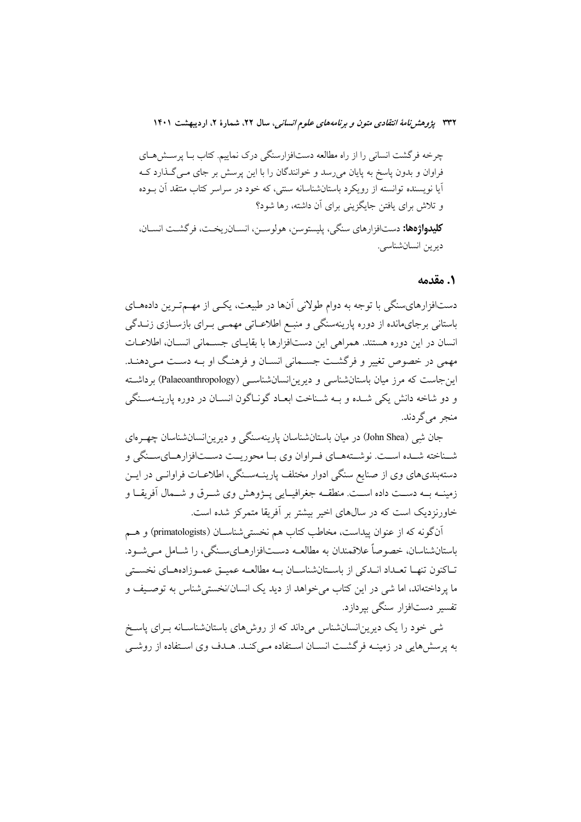چرخه فرگشت انسانی را از راه مطالعه دستافزارسنگی درک نماییم. کتاب بـا پرسـش۵حـای فراوان و بدون پاسخ به پایان میرسد و خوانندگان را با این پرسش بر جای مـیگـذارد کـه آیا نویسنده توانسته از رویکرد باستانشناسانه سنتبی، که خود در سراسر کتاب منتقد آن بـوده و تلاش برای یافتن جایگزینی برای آن داشته، رها شود؟ **کلیدواژهها:** دستافزارهای سنگی، پلیستوسن، هولوسـن، انسـانریخـت، فرگشـت انسـان، ديرين انسان شناسي.

### ۰. مقدمه

دستافزارهای سنگی با توجه به دوام طولانی آنها در طبیعت، یکسی از مهم ترین دادههای باستانی برجای مانده از دوره پارینهسنگی و منبع اطلاعـاتی مهمـی بـرای بازسـازی زنــدگی انسان در این دوره هستند. همراهی این دستافزارها با بقایـای جسـمانی انسـان، اطلاعـات مهمی در خصوص تغییر و فرگشت جسـمانی انسـان و فرهنـگ او بـه دسـت مـیدهنـد. این جاست که مرز میان باستانشناسی و دیرین انسانشناسـی (Palaeoanthropology) برداشـته و دو شاخه دانش یکی شـده و بـه شـناخت ابعـاد گونـاگون انسـان در دوره پارینــهسـنگی منجر مي گر دند.

جان شِی (John Shea) در میان باستانشناسان پارینهسنگی و دیرین|نسانشناسان چهـرهای شـناخته شـده اسـت. نوشـتههـاي فـراوان وي بـا محوريـت دسـتافزارهـايسـنگي و دستهبندیهای وی از صنایع سنگی ادوار مختلف پارینـهسـنگی، اطلاعـات فراوانـی در ایــن زمینــه بــه دســت داده اســت. منطقــه جغرافیــایی پــژوهش وی شـــرق و شـــمال آفریقــا و خاورنزدیک است که در سالهای اخیر بیشتر بر آفریقا متمرکز شده است.

۔<br>انگونه که از عنوان پیداست، مخاطب کتاب هم نخستی شناســان (primatologists) و هــم باستانشناسان، خصوصاً علاقمندان به مطالعــه دســتافزارهــایســنگی، را شــامل مــیشــود. تـاکنون تنهـا تعـداد انـدکی از باسـتانشناسـان بـه مطالعـه عمیـق عمـوزادههـای نخسـتی ما يرداختهاند، اما شي در اين كتاب مي خواهد از ديد يك انسان/نخستي شناس به توصيف و تفسیر دستافزار سنگی بیردازد.

شهی خود را یک دیرین|نسانشناس میداند که از روشهای باستانشناسـانه بـرای پاسـخ به پرسشهایی در زمینــه فرگشــت انســان اســتفاده مــی کنــد. هــدف وی اســتفاده از روشــی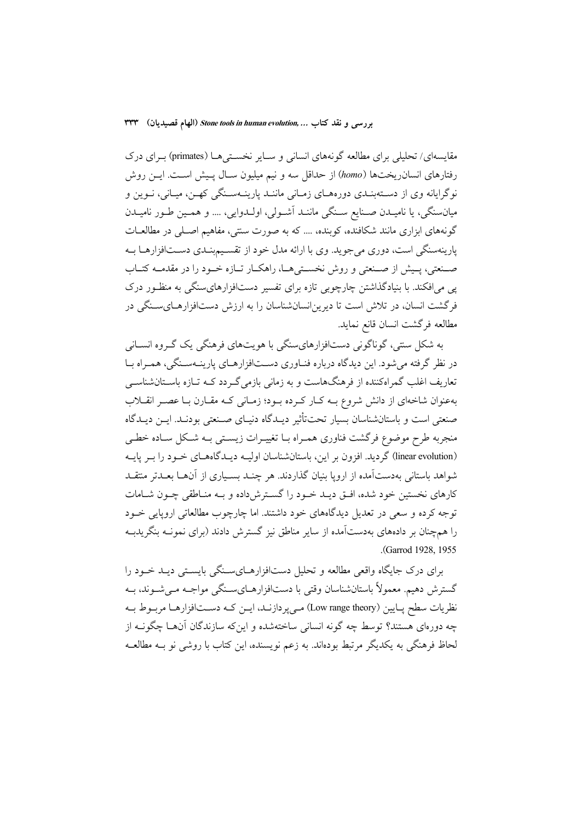مقایسهای/ تحلیلی برای مطالعه گونههای انسانی و سـایر نخسـتیهـا (primates) بـرای درک رفتارهای انسان ریختها (homo) از حداقل سه و نیم میلیون سـال پـیش اسـت. ایــن روش نوگرایانه وی از دسـتهبنـدی دورههـای زمـانی ماننـد پارینـهسـنگی کهـن، میـانی، نــوین و میانسنگی، یا نامیـدن صـنایع سـنگی ماننـد اَشـولی، اولـدوایی، .... و همـین طـور نامیـدن گونههای ابزاری مانند شکافنده، کوبنده، … که به صورت سنتی، مفاهیم اصـلی در مطالعـات پارینهسنگی است، دوری میجوید. وی با ارائه مدل خود از تقسیمبندی دسـتافزارهــا بــه صـنعتي، پـيش از صـنعتي و روش نخسـتيهــا، راهكــار تــازه خــود را در مقدمــه كتــاب یی می|فکند. با بنیادگذاشتن چارچوبی تازه برای تفسیر دست|فزارهایسنگی به منظـور درک فرگشت انسان، در تلاش است تا دیرینانسانشناسان را به ارزش دستافزارهـایسـنگی در مطالعه فركشت انسان قانع نمايد.

به شکل سنتی، گوناگونی دستافزارهایسنگی با هویتهای فرهنگی یک گـروه انســانی در نظر گرفته می شود. این دیدگاه درباره فنـاوری دســتافزارهــای پارینــهســنگی، همــراه بــا تعاریف اغلب گمراهکننده از فرهنگهاست و به زمانی بازمیگردد کـه تـازه باسـتانشناســی بهعنوان شاخهای از دانش شروع بـه کـار کـرده بـود؛ زمـانی کـه مقـارن بـا عصـر انقــلاب صنعتی است و باستانشناسان بسیار تحتتأثیر دیـدگاه دنیـای صـنعتی بودنـد. ایــن دیـدگاه منجربه طرح موضوع فرگشت فناوري همـراه بـا تغييـرات زيسـتي بــه شـكل سـاده خطـي (linear evolution) گردید. افزون بر این، باستانشناسان اولیــه دیــدگاههــای خــود را بــر پایــه شواهد باستانی بهدستآمده از اروپا بنیان گذاردند. هر چنـد بسـیاری از آنهـا بعـدتر منتقـد کارهای نخستین خود شده، افــق دیــد خــود را گســترش(داده و بــه منــاطقی چــون شــامات توجه کرده و سعی در تعدیل دیدگاههای خود داشتند. اما چارچوب مطالعاتی اروپایی خــود را همچنان بر دادههای بهدستآمده از سایر مناطق نیز گسترش دادند (برای نمونــه بنگریدبــه .(Garrod 1928, 1955).

برای درک جایگاه واقعی مطالعه و تحلیل دستافزارهـایسـنگی بایسـتی دیـد خـود را گسترش دهیم. معمولاً باستانشناسان وقتی با دستافزارهـایسـنگی مواجـه مـیشـوند، بـه نظریات سطح پـایین (Low range theory) مـیپردازنـد، ایــن کـه دســتافزارهـا مربـوط بــه چه دورهای هستند؟ توسط چه گونه انسانی ساختهشده و اینکه سازندگان آنهـا چگونــه از لحاظ فرهنگی به یکدیگر مرتبط بودهاند. به زعم نویسنده، این کتاب با روشی نو بـه مطالعـه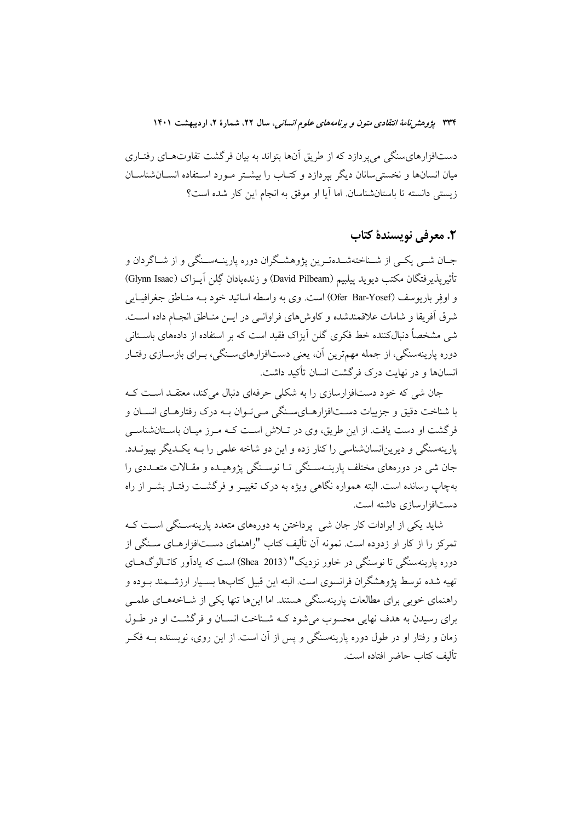دستافزارهای سنگی می پردازد که از طریق آنها بتواند به بیان فرگشت تفاوتهای رفتـاری میان انسانها و نخستی سانان دیگر بیردازد و کتـاب را بیشــتر مــورد اســتفاده انســانشناســان زيستي دانسته تا باستان شناسان. اما آيا او موفق به انجام اين كار شده است؟

## ٢. معرفي نويسندة كتاب

جـان شــي يكــي از شــناختهشــدهتـرين يژوهشــگران دوره پارينــهســنگي و از شــاگردان و تأثيرپذيرفتگان مكتب ديويد پيلبيم (David Pilbeam) و زندهيادان گِلن آيــزاک (Glynn Isaac) و اوفر باریوسف (Ofer Bar-Yosef) است. وی به واسطه اساتید خود بـه منـاطق جغرافیـایی شرق أفريقا و شامات علاقمندشده و كاوش هاى فراوانـي در ايــن منــاطق انجــام داده اســت. شی مشخصاً دنبالکننده خط فکری گلن آیزاک فقید است که بر استفاده از دادههای باسـتانی دوره پارینهسنگی، از جمله مهمترین آن، یعنی دستافزارهایسـنگی، بـرای بازسـازی رفتـار انسانها و در نهایت درک فرگشت انسان تأکید داشت.

جان شی که خود دستافزارسازی را به شکلی حرفهای دنبال میکند، معتقـد اسـت کـه با شناخت دقیق و جزییات دســتافزارهــایســنگی مــی تــوان بــه درک رفتارهــای انســان و فرگشت او دست یافت. از این طریق، وی در تـلاش اسـت کـه مـرز میـان باسـتانشناسـی پارینهسنگی و دیرین|نسانشناسی را کنار زده و این دو شاخه علمی را بــه یکـدیگر بیپونــدد. جان شي در دورههاي مختلف پارينــهسـنگي تــا نوسـنگي پژوهيــده و مقــالات متعــددي را پهچاپ رسانده است. البته همواره نگاهی ویژه به درک تغییر و فرگشت رفتیار بشیر از راه دستافزار سازی داشته است.

شاید یکی از ابرادات کار جان شی پر داختن به دورههای متعدد پارینهستگی است کـه تمرکز را از کار او زدوده است. نمونه آن تألیف کتاب "راهنمای دســتافزارهــای ســنگی از دوره یارینهسنگی تا نوسنگی در خاور نزدیک" (Shea 2013) است که یادآور کاتـالوگهـای تهيه شده توسط يژوهشگران فرانسوي است. البته اين قبيل كتابها بسـيار ارزشــمند بــوده و راهنمای خوبی برای مطالعات پارینهسنگی هستند. اما اینها تنها یکی از شـاخههـای علمـی برای رسیدن به هدف نهایی محسوب می شود کـه شـناخت انسـان و فرگشـت او در طـول زمان و رفتار او در طول دوره پارینهسنگی و پس از آن است. از این روی، نویسنده بــه فکــر تأليف كتاب حاضر افتاده است.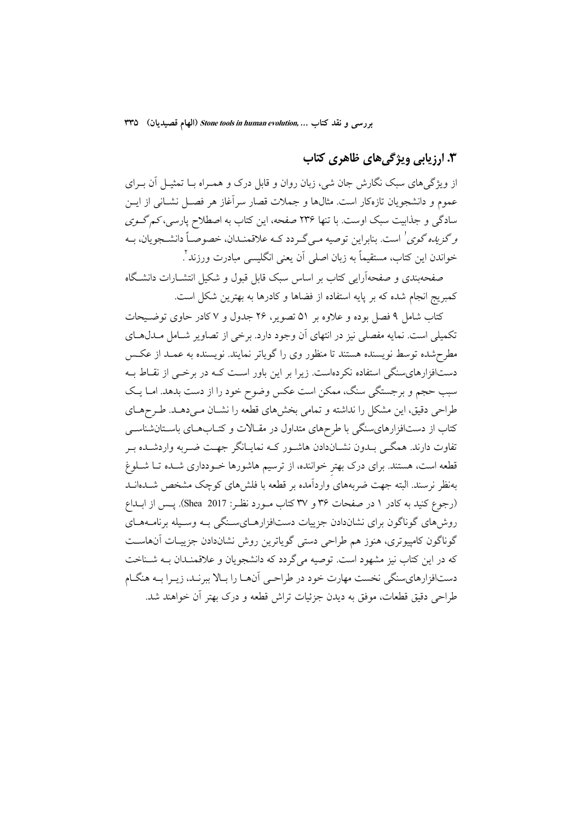بررسی و نقد کتاب ... Stone tools in human evolution (الهام قصیدیان) ٣٣٥

## ۴. ارزیابی ویژگی های ظاهری کتاب

از ویژگیهای سبک نگارش جان شی، زبان روان و قابل درک و همـراه بــا تمثیــل آن بــرای عموم و دانشجویان تازهکار است. مثالها و جملات قصار سرآغاز هر فصـل نشـانی از ایــن سادگی و جذابیت سبک اوست. با تنها ۲۳۶ صفحه، این کتاب به اصطلاح پارسی، *کم گـوی* وگزی*ده گوی'* است. بنابراین توصیه مـی گـردد کـه علاقمنــدان، خصوصـاً دانشــجویان، بــه خواندن اين كتاب، مستقيماً به زبان اصلي آن يعني انگليسي مبادرت ورزند<sup>٢</sup>.

صفحهبندی و صفحهآرایی کتاب بر اساس سبک قابل قبول و شکیل انتشــارات دانشــگاه کمبریج انجام شده که بر پایه استفاده از فضاها و کادرها به بهترین شکل است.

کتاب شامل ۹ فصل بوده و علاوه بر ۵۱ تصویر، ۲۶ جدول و ۷ کادر حاوی توضـیحات تکمیلی است. نمایه مفصلی نیز در انتهای آن وجود دارد. برخی از تصاویر شـامل مــدلهــای مطرحشده توسط نویسنده هستند تا منظور وی را گویاتر نمایند. نویسنده به عمـد از عکـس دستافزارهای سنگی استفاده نکردهاست. زیرا بر این باور اسـت کــه در برخــی از نقــاط بــه سبب حجم و برجستگی سنگ، ممکن است عکس وضوح خود را از دست بدهد. امـا یـک طراحی دقیق، این مشکل را نداشته و تمامی بخشهای قطعه را نشــان مــیدهــد. طــرحهــای کتاب از دستافزارهای سنگی با طرحهای متداول در مقـالات و کتــابهــای باســتانشناســی تفاوت دارند. همگـی بــدون نشــاندادن هاشــور کــه نمایــانگر جهــت ضــربه واردشــده بــر قطعه است، هستند. برای درک بهتر خواننده، از ترسیم هاشورها خــودداری شــده تــا شــلوغ بهنظر نرسند. البته جهت ضربههای واردآمده بر قطعه با فلشهای کوچک مشخص شــدهانــد (رجوع کنید به کادر ۱ در صفحات ۳۶ و ۳۷ کتاب مـورد نظـر: Shea 2017). پـس از ابــداع روش های گوناگون برای نشاندادن جزییات دستافزارهـایسـنگی بـه وسـیله برنامـههـای گوناگون کامپیوتری، هنوز هم طراحی دستی گویاترین روش نشاندادن جزییـات آنهاسـت که در این کتاب نیز مشهود است. توصیه می گردد که دانشجویان و علاقمنـدان بـه شـناخت دستافزارهای سنگی نخست مهارت خود در طراحـی آنهـا را بـالا ببرنـد، زيـرا بـه هنگـام طراحي دقيق قطعات، موفق به ديدن جزئيات تراش قطعه و درک بهتر آن خواهند شد.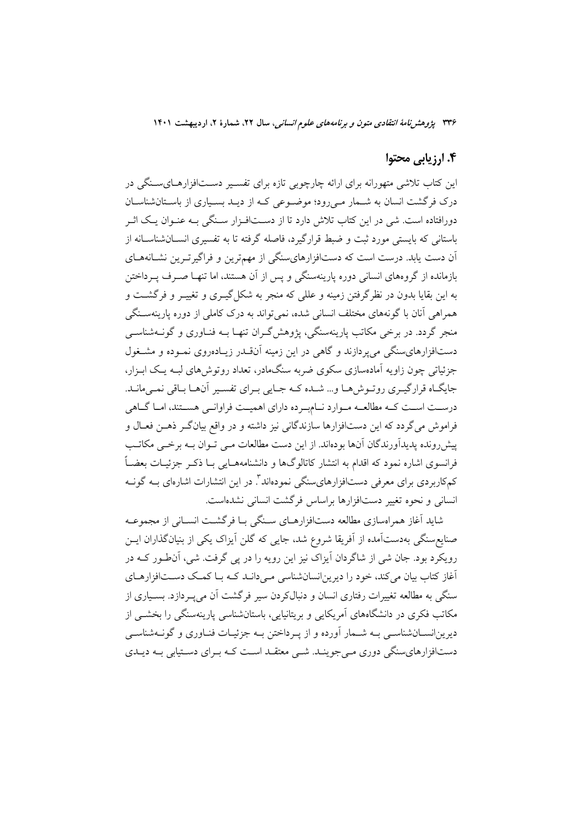## ۴. ارزیابی محتوا

این کتاب تلاشی متهورانه برای ارائه چارچوبی تازه برای تفسـیر دســتافزارهــایســنگه ٍ در درک فرگشت انسان به شــمار مــی(ود؛ موضــوعی کــه از دیــد بســیاری از باســتانشناســان دورافتاده است. شی در این کتاب تلاش دارد تا از دسـتافـزار سـنگی بـه عنـوان یـک اثـر باستانی که بایستی مورد ثبت و ضبط قرارگیرد، فاصله گرفته تا به تفسیری انســانشناســانه از آن دست یابد. درست است که دستافزارهایسنگی از مهمترین و فراگیرتـرین نشــانههــای بازمانده از گروههای انسانی دوره پارینهسنگی و پس از آن هستند، اما تنهـا صـرف پـرداختن به این بقایا بدون در نظر گرفتن زمینه و عللی که منجر به شکل گیــری و تغییــر و فرگشــت و همراهی آنان با گونههای مختلف انسانی شده، نمیتواند به درک کاملی از دوره پارینهسـنگی منجر گردد. در برخی مکاتب پارینهسنگی، پژوهش گـران تنهـا بــه فنــاوری و گونــهشناســی دستافزارهای سنگی می پردازند و گاهی در این زمینه آن قـدر زیـادهروی نمـوده و مشـغول جزئیاتی چون زاویه آمادهسازی سکوی ضربه سنگمادر، تعداد روتوش های لیـه یـک ایـزار، جایگـاه قرارگیـری روتـوش(هـا و... شـده کـه جـایی بـرای تفسـیر أن\هـا بـاقی نمـی،انـد. درســت اســت كــه مطالعــه مــوارد نــامبــرده داراي اهميــت فراوانــي هســتند، امــا گــاهي فراموش مي گردد كه اين دستافزارها سازندگاني نيز داشته و در واقع بيانگـر ذهـن فعـال و پیش رونده پدیدآورندگان آنها بودهاند. از این دست مطالعات مـی تـوان بــه برخـی مکاتـب فرانسوی اشاره نمود که اقدام به انتشار کاتالوگها و دانشنامههــایی بــا ذکــر جزئیــات بعضــاً کمکاربردی برای معرفی دستافزارهایسنگی نمودهاند". در این انتشارات اشارهای بــه گونــه انسانی و نحوه تغییر دستافزارها براساس فرگشت انسانی نشدهاست.

شاید آغاز همراهسازی مطالعه دستافزارهـای سـنگی بـا فرگشـت انســانی از مجموعــه صنایع سنگی بهدستآمده از آفریقا شروع شد، جایی که گلن آیزاک یکی از بنیانگذاران ایــن رویکرد بود. جان شی از شاگردان آیزاک نیز این رویه را در پی گرفت. شی، آنطور کـه در آغاز کتاب بیان میکند، خود را دیرین انسانشناسی مـیcانـد کـه بـا کمـک دسـتافزارهـای سنگی به مطالعه تغییرات رفتاری انسان و دنبالکردن سیر فرگشت آن میپــردازد. بســیاری از مکاتب فکری در دانشگاههای آمریکایی و بریتانیایی، باستانشناسی پارینهسنگی را بخشبی از ديرين|نســانشناســي بــه شــمار أورده و از پــرداختن بــه جزئيــات فنــاوري و گونــهشناســي دستافزارهای سنگی دوری مـیجوینـد. شـی معتقـد اسـت کـه بـرای دسـتیابی بـه دیـدی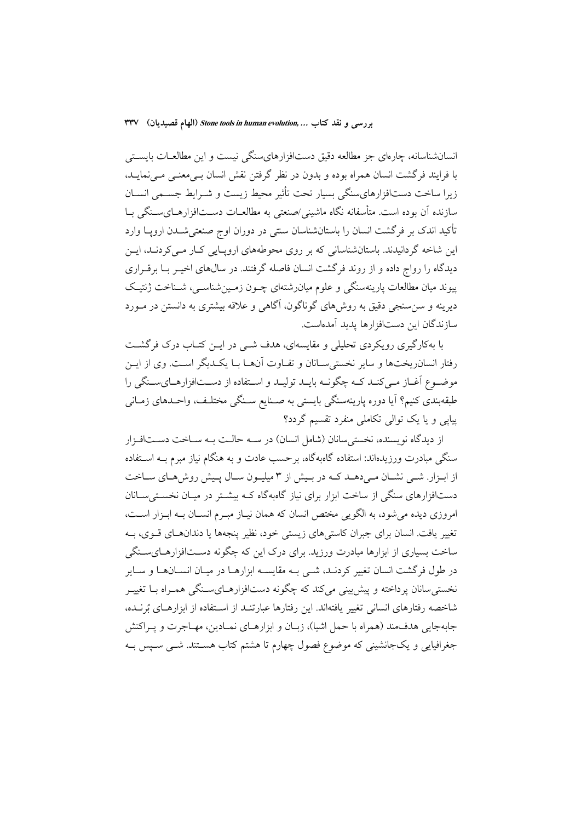انسانشناسانه، چارهای جز مطالعه دقیق دستافزارهایسنگی نیست و این مطالعـات بایسـتی با فرايند فرگشت انسان همراه بوده و بدون در نظر گرفتن نقش انسان بـي،معنـي مـي،نمايـد، زيرا ساخت دستافزارهاي سنگي بسيار تحت تأثير محيط زيست و شـرايط جسـمي انســان سازنده آن بوده است. متأسفانه نگاه ماشین*ی اص*نعتی به مطالعــات دســـتافزارهــایســنگی بــا تأکید اندک بر فرگشت انسان را باستانشناسان سنتی در دوران اوج صنعتی شــدن اروپــا وارد این شاخه گردانیدند. باستانشناسانی که بر روی محوطههای اروپایی کبار می کردنـد، ایـن دیدگاه را رواج داده و از روند فرگشت انسان فاصله گرفتند. در سالهای اخیـر بـا برقــراری پیوند میان مطالعات پارینهسنگی و علوم میانرشتهای چـون زمـینشناسـی، شـناخت ژنتیـک دیرینه و سن سنجی دقیق به روشهای گوناگون، آگاهی و علاقه بیشتری به دانستن در مـورد سازندگان این دستافزارها پدید آمدهاست.

با بهکارگیری رویکردی تحلیلی و مقایسهای، هدف شـبی در ایــن کتــاب درک فرگشــت رفتار انسان ریختها و سایر نخستی سـانان و تفـاوت آنهـا بـا یکـدیگر اسـت. وی از ایــن موضـوع آغـاز مـى كنـد كـه چگونـه بايـد توليـد و اسـتفاده از دســتافزارهـاىسـنگى را طبقهبندی کنیم؟ آیا دوره پارینهسنگی بایستی به صـنایع سـنگی مختلـف، واحـدهای زمـانی پیایی و یا یک توالی تکاملی منفرد تقسیم گردد؟

از دیدگاه نویسنده، نخستی سانان (شامل انسان) در سـه حالـت بـه سـاخت دسـتافـزار سنگی مبادرت ورزیدهاند: استفاده گاهبهگاه، برحسب عادت و به هنگام نیاز مبرم بــه اســتفاده از ابـزار. شــي نشــان مــيدهــد كــه در بــيش از ٣ ميليــون ســال پــيش روش&ـاي ســاخت دستافزارهای سنگی از ساخت ابزار برای نیاز گاهبهگاه کـه بیشـتر در میـان نخسـتیسـانان امروزی دیده می شود، به الگویی مختص انسان که همان نیـاز مبـرم انسـان بـه ابـزار اسـت، تغییر یافت. انسان برای جبران کاستی های زیستی خود، نظیر پنجهها یا دندانهـای قــوی، بــه ساخت بسیاری از ابزارها مبادرت ورزید. برای درک این که چگونه دســتافزارهــایســنگی در طول فرگشت انسان تغییر کردنـد، شــی بــه مقایســه ابزارهــا در میــان انســانهــا و ســایر نخستی سانان پرداخته و پیش بینی میکند که چگونه دستافزارهـایسـنگی همـراه بـا تغییـر شاخصه رفتارهای انسانی تغییر یافتهاند. این رفتارها عبارتنـد از اسـتفاده از ابزارهـای بُرنــده، جابهجايي هدفمند (همراه با حمل اشيا)، زبـان و ابزارهـاي نمـادين، مهـاجرت و يـراكنش جغرافیایی و یکجانشینی که موضوع فصول چهارم تا هشتم کتاب هسـتند. شـبی سـیس بـه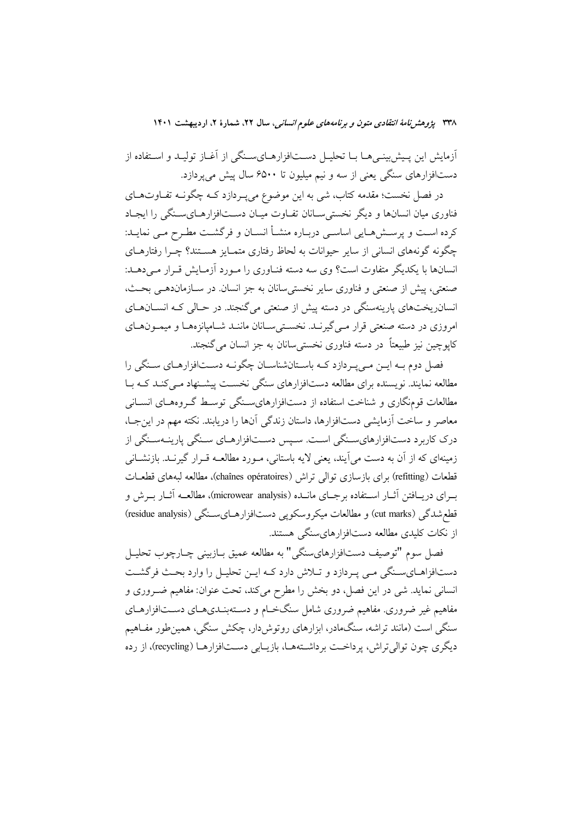أزمايش اين پـيش.بينـي،هــا بــا تحليــل دســتافزارهــايســنگي از آغــاز توليــد و اســتفاده از دستافزارهای سنگی یعنی از سه و نیم میلیون تا ۶۵۰۰ سال پیش می پردازد.

در فصل نخست؛ مقدمه کتاب، شی به این موضوع میپـردازد کــه چگونــه تفــاوتهــای فناوری میان انسانها و دیگر نخستی سـانان تفـاوت میـان دسـتافزارهـایسـنگی را ایجـاد كرده است و پرسـش۹مـايي اساسـي دربـاره منشـأ انسـان و فرگشـت مطـرح مـي نمايــد: چگونه گونههای انسانی از سایر حیوانات به لحاظ رفتاری متمــایز هســتند؟ چــرا رفتارهــای انسانها با یکدیگر متفاوت است؟ وی سه دسته فنـاوری را مـورد آزمـایش قـرار مـی دهـد: صنعتي، پيش از صنعتي و فناوري ساير نخستي سانان به جز انسان. در ســازمان‹هــي بحـث، انسان ریختهای پارینهسنگی در دسته پیش از صنعتی می گنجند. در حـالی کـه انســانهــای امروزی در دسته صنعتی قرار مبی گیرنـد. نخسـتی سـانان ماننـد شـامیانزههـا و میمـونهـای کاپوچین نیز طبیعتاً در دسته فناوری نخستی سانان به جز انسان می گنجند.

فصل دوم بـه ايــن مــي يــردازد كــه باســتانشناســان چگونــه دســتافزارهــاي ســنگي را مطالعه نمایند. نویسنده برای مطالعه دستافزارهای سنگی نخسـت پیشـنهاد مـیکنـد کـه بـا مطالعات قومنگاری و شناخت استفاده از دستافزارهایسنگی توسط گـروههـای انســانی معاصر و ساخت آزمایشی دستافزارها، داستان زندگی آنها را دریابند. نکته مهم در این جـا، درک کاربرد دستافزارهایسـنگی اسـت. سـیس دسـتافزارهـای سـنگی پارینــهسـنگی از زمینهای که از آن به دست می آیند، یعنی لایه باستانی، مـورد مطالعــه قـرار گیرنــد. بازنشــانی قطعات (refitting) براي بازسازي توالي تراش (chaînes opératoires)، مطالعه لبههاي قطعـات بـراي دريــافتن آثــار اســتفاده برجــاي مانــده (microwear analysis)، مطالعــه آثــار بــرش و قطعشدگی (cut marks) و مطالعات میکروسکویی دستافزارهـایسـنگی (residue analysis) از نکات کلیدی مطالعه دستافزارهایسنگی هستند.

فصل سوم "توصيف دستافزارهايسنگي" به مطالعه عميق بـازبيني چـارچوب تحليـل دستافزاهـاي سـنگي مـي پـردازد و تـلاش دارد كـه ايـن تحليـل را وارد بحـث فرگشـت انسانی نماید. شی در این فصل، دو بخش را مطرح میکند، تحت عنوان: مفاهیم ضـروری و مفاهیم غیر ضروری مفاهیم ضروری شامل سنگخـام و دسـتهبنـدیهـای دسـتافزارهـای سنگی است (مانند تراشه، سنگمادر، ابزارهای روتوش دار، چکش سنگی، همین طور مفـاهیم دیگری چون توالی تراش، پرداخت پرداشتهها، بازیبایی دستافزارهبا (recycling)، از رده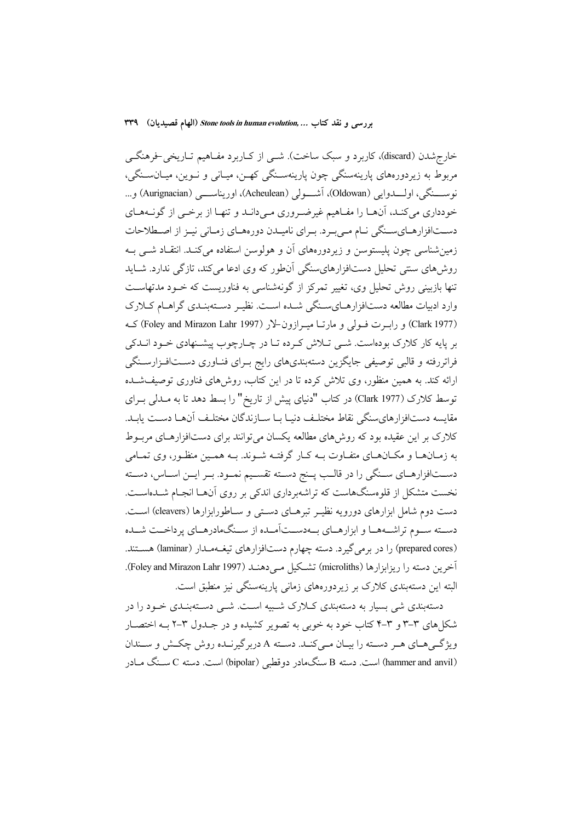خارج شدن (discard)، کاربرد و سبک ساخت). شــی از کــاربرد مفــاهیم تــاریخی-فرهنگــی مربوط به زیردورههای پارینهسنگی چون پارینهسـنگی کهـن، میـانی و نــوین، میــانسـنگی، نوســنگي، اولـــدوايي (Oldowan)، آشـــولي (Acheulean)، اوريناســـي (Aurignacian) و... خودداری می کنـد، آنهـا را مفـاهیم غیرضـروری مـی دانـد و تنهـا از برخــی از گونــههـای دســتافزارهــايســنگي نــام مــي بــر د. بــراي ناميــدن دورههــاي زمــاني نيــز از اصــطلاحات زمین شناسی چون پلیستوسن و زیردورههای آن و هولوسن استفاده می کنـد. انتقـاد شــی بـه روشهای سنتی تحلیل دستافزارهایسنگی آنطور که وی ادعا میکند، تازگی ندارد. شـاید تنها بازبینی روش تحلیل وی، تغییر تمرکز از گونهشناسی به فناوریست که خــود مدتهاســت وارد ادبیات مطالعه دستافزارهـایسـنگی شـده اسـت. نظیـر دسـتهبنـدی گراهـام کـلارک (Clark 1977) و رابــرت فــولى و مارتــا ميــرازون-لار (Foley and Mirazon Lahr 1997) كــه بر پایه کار کلارک بودهاست. شــی تــلاش کــرده تــا در چــارچوب پیشــنهادی خــود انــدکی فراتررفته و قالبی توصیفی جایگزین دستهبندیهای رایج بـرای فنــاوری دســتافـزارســنگی ارائه کند. به همین منظور، وی تلاش کرده تا در این کتاب، روشهای فناوری توصیفشـده توسط كلارك (Clark 1977) در كتاب "دنياي پيش از تاريخ" را بسط دهد تا به مـدلي بـراي مقايسه دستافزارهاىسنگى نقاط مختلف دنيـا بـا سـازندگان مختلـف آنهـا دسـت يابـد. کلارک بر این عقیده بود که روش های مطالعه یکسان می توانند برای دستافزارهـای مربـوط به زمـانهـا و مكـانهـاي متفـاوت بــه كـار گرفتــه شــوند. بــه همــين منظـور، وي تمــامي دســتافزارهــاي ســنگي را در قالــب پــنج دســته تقســيم نمــود. بــر ايــن اســاس، دســته نخست متشکل از قلومسنگهاست که تراشهبرداری اندکی بر روی آنهـا انجـام شــدهاســت. دست دوم شامل ابزارهای دورویه نظیـر تبرهـای دسـتی و سـاطورابزارها (cleavers) اسـت. دسته سـوم تراشـههـا و ابزارهـاي بـهدسـتآمـده از سـنگـهادرهـاي يرداخـت شـده (prepared cores) را در برمی گیرد. دسته چهارم دستافزارهای تیغهمدار (laminar) هستند. آخرين دسته را ريزابزارها (microliths) تشكيل مـي دهنـد (Foley and Mirazon Lahr 1997). البته این دستهبندی کلارک بر زیردورههای زمانی پارینهسنگی نیز منطبق است.

دستهبندی شی بسار به دستهبندی کبلارک شبیه است. شبی دستهبنیدی خبود را در شکل های ۳-۳ و ۳-۴ کتاب خود به خوبی به تصویر کشیده و در جـدول ۳-۲ بـه اختصـار ویژگے هـای هـر دسـته را بيـان مـى كنـد. دسـته A دربر گيرنـده روش چكـش و سـندان (hammer and anvil) است. دسته B سنگمادر دوقطبی (bipolar) است. دسته C سـنگ مـادر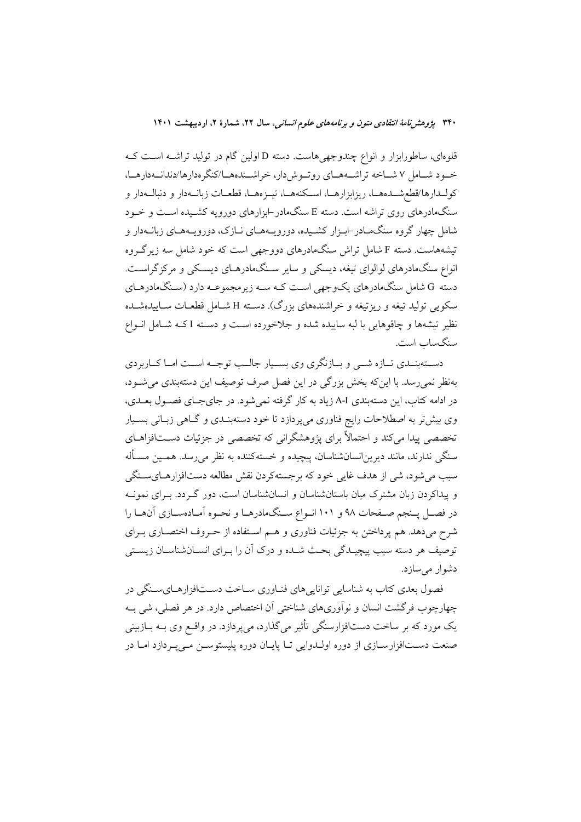قلوهای، ساطورابزار و انواع چندوجهی هاست. دسته D اولین گام در تولید تراشــه اسـت کــه خود شامل ۷ شاخه تراشمههای روتوش دار، خراشندهها/کنگر مدارها/دندانهدارها، كولـدارها/قطعشـدههـا، ريزابزارهـا، اسـكنههـا، تيــزههـا، قطعــات زبانــهدار و دنبالــهدار و سنگمادرهای روی تراشه است. دسته E سنگمادر –ابزارهای دورویه کشـیده اسـت و خــود شامل چهار گروه سنگمـادر-ابـزار كشـيده، دورويــههـاي نــازک، دورويــههــاي زبانــهدار و تیشههاست. دسته F شامل تراش سنگمادرهای دووجهی است که خود شامل سه زیرگروه انواع سنگ،ادرهای لوالوای تیغه، دیسکی و سایر سنگ،ادرهـای دیسـکی و مرکزگراسـت. دسته G شامل سنگمادرهای یکوجهی است کـه ســه زیرمجموعــه دارد (ســنگمادرهــای سکويي توليد تيغه و ريزتيغه و خراشندههاي بزرگ). دســته H شــامل قطعــات ســاييدهشــده نظیر تیشهها و چاقوهایی با لبه ساییده شده و جلاخورده است و دسته I کـه شـامل انــواع سنگساب است.

دســتهبنــدي تــازه شــي و بــازنگري وي بســيار جالــب توجــه اســت امــا كــاربردي بهنظر نمی رسد. با این که بخش بزرگی در این فصل صرف توصیف این دستهبندی می شود، در ادامه کتاب، این دستهبندی A-I زیاد به کار گرفته نمی شود. در جای جـای فصـول بعـدی، وی بیشتر به اصطلاحات رایج فناوری میپردازد تا خود دستهبنـدی و گــاهی زبـانی بسـیار تخصصی پیدا میکند و احتمالاً برای پژوهشگرانی که تخصصی در جزئیات دســتافزاهــای سنگی ندارند، مانند دیرین|نسانشناسان، پیچیده و خستهکننده به نظر میرسد. همـین مسـأله سبب میشود، شی از هدف غایی خود که برجستهکردن نقش مطالعه دستافزارهـایسـنگی و پیداکردن زبان مشترک میان باستانشناسان و انسانشناسان است، دور گـردد. بـرای نمونـه در فصـل پـنجم صـفحات ۹۸ و ۱۰۱ انـواع سـنگـامدرهـا و نحـوه اَمـادهسـازي اَنهـا را شرح میدهد. هم پرداختن به جزئیات فناوری و هـم اسـتفاده از حـروف اختصـاری بـرای توصيف هر دسته سبب پيچيـدگي بحـث شـده و درک اَن را بـراي انســانشناســان زيســتي دشوار می سازد.

فصول بعدی کتاب به شناسایی تواناییهای فنـاوری سـاخت دسـتافزارهـایسـنگی در چهارچوب فرگشت انسان و نوآوریهای شناختی آن اختصاص دارد. در هر فصلی، شی بـه یک مورد که بر ساخت دستافزارسنگی تأثیر می گذارد، می پردازد. در واقــع وی بــه بــازبینی صنعت دسـتافزارسـازي از دوره اولـدوايي تـا پايـان دوره پليستوسـن مـي پـردازد امـا در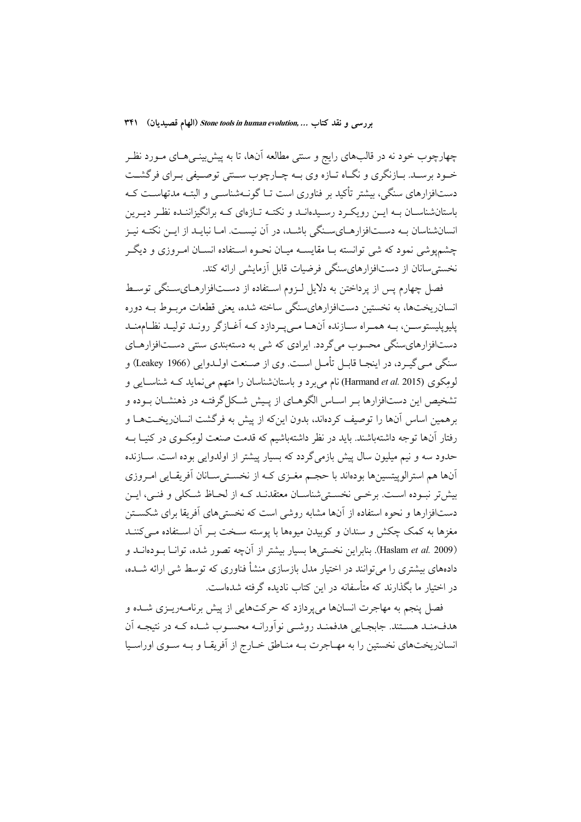چهارچوب خود نه در قالبهای رایج و سنتی مطالعه آنها، تا به پیش بینــیهــای مــورد نظــر خــود برســد. بــازنگري و نگــاه تــازه وي بــه چــارچوب ســنتي توصــيفي بــراي فرگشــت دستافزارهای سنگی، بیشتر تأکید بر فناوری است تــا گونــهشناســی و البتــه مدتهاســت کــه باستانشناسـان بــه ايــن رويكــرد رســيدهانــد و نكتــه تــازهاي كــه برانگيزاننــده نظــر ديــرين انسانشناسان بـه دسـتافزارهـاىسـنگى باشـد، در آن نيسـت. امـا نبايـد از ايـن نكتـه نيـز چشمپوشی نمود که شی توانسته بـا مقایسـه میـان نحـوه اسـتفاده انسـان امـروزی و دیگـر نخستی سانان از دستافزارهای سنگی فرضیات قابل آزمایشی ارائه کند.

فصل چهارم پس از پرداختن به دلایل لـزوم اسـتفاده از دسـتافزارهـایسـنگی توسـط انسانریختها، به نخستین دستافزارهایسنگی ساخته شده، یعنی قطعات مربوط بـه دوره یلیو پلستوسین، پـه همبراه سـازنده آنهـا مـه پـردازد کـه آغـاز گر رونـد توليـد نظـام منـد دستافزارهای سنگی محسوب می گردد. ایرادی که شی به دستهبندی سنتی دسـتافزارهـای سنگي مـي گيـرد، در اينجــا قابــل تأمــل اســت. وي از صــنعت اولــدوايي (Leakey 1966) و لومِکوی (Harmand et al. 2015) نام می برد و باستانشناسان را متهم می نماید کـه شناســایی و تشخیص این دستافزارها بـر اسـاس الگوهـای از پـیش شـکل گرفتـه در ذهنشـان بـوده و برهمین اساس آنها را توصیف کردهاند، بدون اینکه از پیش به فرگشت انسانریخـتهـا و رفتار آنها توجه داشتهباشند. باید در نظر داشتهباشیم که قدمت صنعت لومِکـوی در کنیـا بــه حدود سه و نیم میلیون سال پیش بازمی گردد که بسیار پیشتر از اولدوایی بوده است. ســازنده آنها هم استرالوپیتسینها بودهاند با حجـم مغـزی کـه از نخسـتیسـانان آفریقـایی امـروزی بیش تر نسوده است. برخبی نخستهی شناسـان معتقدنــد کــه از لحــاظ شــکلی و فنــی، ایــن دستافزارها و نحوه استفاده از آنها مشابه روشی است که نخستیهای آفریقا برای شکسـتن مغزها به کمک چکش و سندان و کوبیدن میوهها با پوسته سـخت بــر آن اسـتفاده مــیکننــد (Haslam et al. 2009). بنابراين نخستي ها بسيار بيشتر از آنچه تصور شده، توانــا بــودهانــد و دادههای بیشتری را می توانند در اختیار مدل بازسازی منشأ فناوری که توسط شی ارائه شــده، در اختیار ما بگذارند که متأسفانه در این کتاب نادیده گرفته شدهاست.

.<br>فصل پنجم به مهاجرت انسانها می پردازد که حرکتهایی از پیش برنامــهریــزی شــده و هدفمند هستند. جابجایی هدفمنـد روشـی نواَورانـه محسـوب شـده کـه در نتیجـه اَن انسان ریختهای نخستین را به مهـاجرت بـه منـاطق خــارج از آفریقـا و بـه سـوی اوراسـیا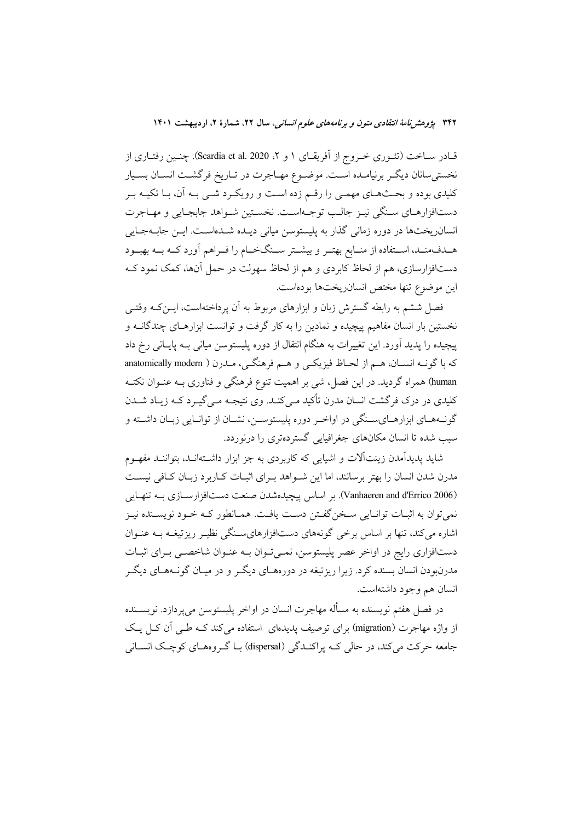قـادر سـاخت (تئــوری خــروج از اَفريقــای ۱ و ۲، Scardia et al. 2020). چنــين رفتــاری از نخستی سانان دیگـر برنیامـده اسـت. موضـوع مهـاجرت در تـاریخ فرگشـت انسـان بسـیار کلیدی بوده و بحـثهـای مهمـی را رقـم زده اسـت و رویکـرد شـی بـه آن، بـا تکیـه بـر دستافزارهـاي سـنگي نيـز جالـب توجـهاسـت. نخسـتين شـواهد جابجـايي و مهـاجرت انسانریختها در دوره زمانی گذار به پلیستوسن میانی دیـده شـدهاسـت. ایــن جابــهجــایی هــدفمنــد، اســتفاده از منــابع بهتــر و بيشــتر ســنگخــام را فــراهم آورد كــه بــه بهبــود دستافزارسازی، هم از لحاظ کابردی و هم از لحاظ سهولت در حمل آنها، کمک نمود کـه این موضوع تنها مختص انسان یختها بودهاست.

فصل ششم به رابطه گسترش زبان و ابزارهای مربوط به آن یرداختهاست، ایــن کــه وقتــی .<br>نخستین بار انسان مفاهیم پیچیده و نمادین را به کار گرفت و توانست ابزارهـای چندگانــه و پیچیده را پدید آورد. این تغییرات به هنگام انتقال از دوره پلیستوسن میانی بـه پایــانی رخ داد كه با گونــه انســان، هــم از لحــاظ فيزيكــي و هــم فرهنگــي، مــدرن ( anatomically modern human) همراه گردید. در این فصل، شی بر اهمیت تنوع فرهنگی و فناوری بـه عنــوان نکتــه کلیدی در درک فرگشت انسان مدرن تأکید مـیکنـد. وی نتیجـه مـی گیـرد کـه زیـاد شــدن گونـههـاي ابزارهـايسـنگي در اواخـر دوره پليستوسـن، نشـان از توانـايي زبـان داشـته و سبب شده تا انسان مکانهای جغرافیایی گستردهتری را درنوردد.

.<br>شاید یدیدآمدن زینتآلات و اشیایی که کاربردی به جز ابزار داشتهانـد، بتواننـد مفهــوم مدرن شدن انسان را بهتر برسانند، اما این شـواهد بـرای اثبـات کـاربرد زبـان کـافی نیسـت (Vanhaeren and d'Errico 2006). بر اساس پیچیدهشدن صنعت دستافزارسازی بـه تنهایی نمي توان به اثبـات توانـايي سـخن گفــتن دسـت يافــت. همـانطور كــه خــود نويســنده نيـز اشاره می کند، تنها بر اساس برخی گونههای دستافزارهایسـنگی نظیـر ریزتیغـه بــه عنـوان دستافزاری رایج در اواخر عصر پلیستوسن، نمـیتـوان بــه عنـوان شاخصــی بــرای اثبــات مدرنبودن انسان بسنده کرد. زیرا ریزتیغه در دورههـای دیگـر و در میـان گونــههـای دیگـر انسان هم وجود داشتهاست.

در فصل هفتم نويسنده به مسأله مهاجرت انسان در اواخر پليستوسن مي پردازد. نويســنده از واژه مهاجرت (migration) برای توصیف پدیدهای استفاده می کند کـه طـی آن کـل یـک جامعه حرکت می کند، در حالی کـه پراکنـدگی (dispersal) بـا گـروههـای کوچـک انســانی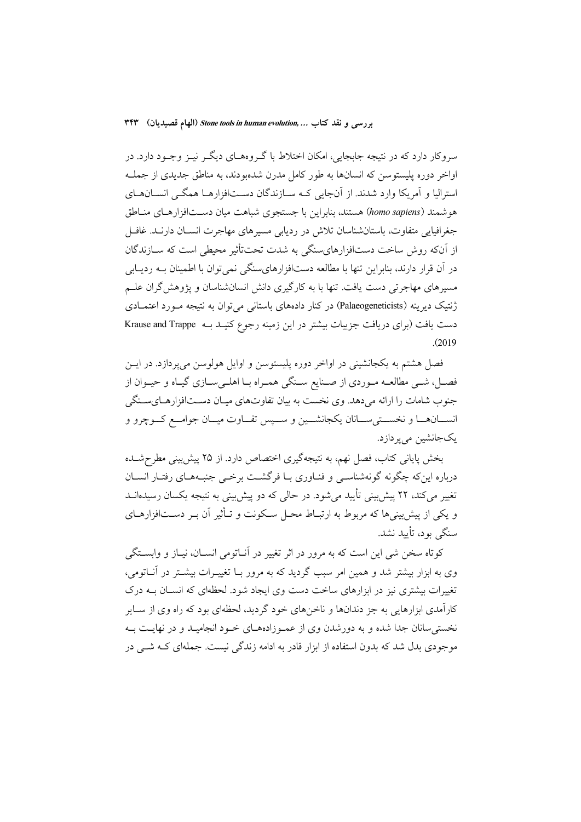سروکار دارد که در نتیجه جابجایی، امکان اختلاط با گـروههــای دیگــر نیــز وجــود دارد. در اواخر دوره پلیستوسن که انسانها به طور کامل مدرن شدهبودند، به مناطق جدیدی از جملـه استرالیا و آمریکا وارد شدند. از آنجایی کـه سـازندگان دسـتافزارهـا همگـی انســانهــای هو شمند (homo sapiens) هستند، بنابراین با جستجوی شباهت میان دســتافزارهـای منـاطق جغرافیایی متفاوت، باستانشناسان تلاش در ردیابی مسیرهای مهاجرت انســان دارنــد. غافــل از آنکه روش ساخت دستافزارهایسنگی به شدت تحتتأثیر محیطی است که ســازندگان در آن قرار دارند، بنابراین تنها با مطالعه دستافزارهایسنگی نمیتوان با اطمینان بـه ردیـابی مسیرهای مهاجرتی دست یافت. تنها با به کارگیری دانش انسانشناسان و پژوهش گران علـم ژنتیک دیرینه (Palaeogeneticists) در کنار دادههای باستانی می توان به نتیجه مـورد اعتمــادی دست یافت (برای دریافت جزییات بیشتر در این زمینه رجوع کنیـد بـه Krause and Trappe  $(2019)$ 

فصل هشتم به يكجانشيني در اواخر دوره پليستوسن و اوايل هولوسن مي پردازد. در ايــن فصـل، شـي مطالعــه مـوردي از صــنايع ســنگي همـراه بـا اهلــيســازي گيـاه و حيــوان از جنوب شامات را ارائه می دهد. وی نخست به بیان تفاوتهای میـان دسـتافزارهـایسـنگی انســانهــا و نخســتىســانان يكجانشــين و ســپس تفــاوت ميــان جوامــع كــوچرو و يکجانشين مي پر دازد.

بخش پایانی کتاب، فصل نهم، به نتیجهگیری اختصاص دارد. از ۲۵ پیش بینی مطرح شـده درباره اینکه چگونه گونهشناسـی و فنـاوری بـا فرگشـت برخـی جنبـههـای رفتـار انسـان تغییر می کند، ۲۲ پیش بینی تأیید می شود. در حالی که دو پیش بینی به نتیجه یکسان رسیدهانــد و یکی از پیش بینی ها که مربوط به ارتبـاط محـل سـکونت و تــأثیر آن بــر دســتافزارهــای سنگی بود، تأیید نشد.

کوتاه سخن شی این است که به مرور در اثر تغییر در آنـاتومی انســان، نیــاز و وابســتگی وی به ابزار بیشتر شد و همین امر سبب گردید که به مرور بــا تغییــرات بیشــتر در آنــاتومی، تغییرات بیشتری نیز در ابزارهای ساخت دست وی ایجاد شود. لحظهای که انسـان بـه درک کارآمدی ابزارهایی به جز دندانها و ناخنهای خود گردید، لحظهای بود که راه وی از ســایر نخسته سانان جدا شده و به دورشدن وی از عمـوزادههـای خـود انجامیـد و در نهایـت بـه موجودی بدل شد که بدون استفاده از ابزار قادر به ادامه زندگی نیست. جملهای کـه شـــ ٍ در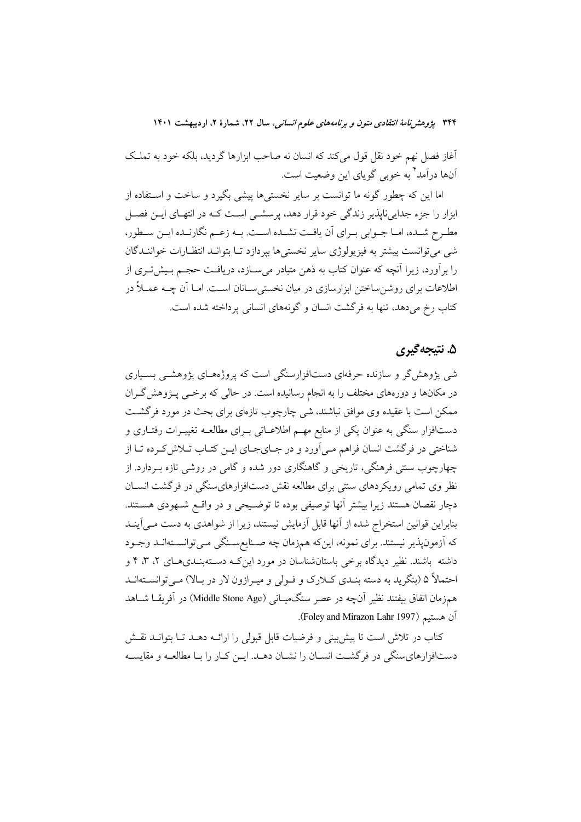آغاز فصل نهم خود نقل قول میکند که انسان نه صاحب ابزارها گردید، بلکه خود به تملک آنها درآمد<sup>۲</sup> به خوبی گویای این وضعیت است.

اما این که چطور گونه ما توانست بر سایر نخستیها پیشی بگیرد و ساخت و استفاده از ابزار را جزء جدایی نایذیر زندگی خود قرار دهد، پرسشــی اســت کــه در انتهــای ایــن فصــل مطـرح شـده، امـا جــوابي بــراي أن يافــت نشــده اســت. بــه زعــم نگارنــده ايــن ســطور، شي مي توانست بيشتر به فيزيولوژي ساير نخستي ها بيردازد تــا بتوانــد انتظــارات خواننــدگان را برآورد، زیرا آنچه که عنوان کتاب به ذهن متبادر می سـازد، دریافـت حجـم بـیشتتـری از اطلاعات برای روشن ساختن ابزارسازی در میان نخستی سـانان اسـت. امـا اَن چــه عمــلاً در کتاب رخ میدهد، تنها به فرگشت انسان و گونههای انسانی پرداخته شده است.

## ۵. نتىجەگىرى

شی پژوهش گر و سازنده حرفهای دستافزارسنگی است که پروژههـای پژوهشــی بســیاری در مکانها و دورههای مختلف را به انجام رسانیده است. در حالی که برخــی پــژوهش&ـران ممکن است با عقیده وی موافق نباشند، شی چارچوب تازهای برای بحث در مورد فرگشـت دستافزار سنگی به عنوان یکی از منابع مهـم اطلاعـاتی بـرای مطالعـه تغییـرات رفتـاری و شناختی در فرگشت انسان فراهم مـی اَورد و در جـایجـای ایـن کتـاب تـلاش کـرده تـا از چهارچوب سنتی فرهنگی، تاریخی و گاهنگاری دور شده و گامی در روشی تازه بـردارد. از نظر وی تمامی رویکردهای سنتی برای مطالعه نقش دستافزارهایسنگی در فرگشت انســان دچار نقصان هستند زیرا بیشتر آنها توصیفی بوده تا توضـیحی و در واقـع شـهودی هســتند. بنابراین قوانین استخراج شده از آنها قابل آزمایش نیستند، زیرا از شواهدی به دست مـی]ینــد كه آزمونپذير نيستند. براي نمونه، اينكه همزمان چه صـنايعسـنگي مـيتوانسـتهانـد وجـود داشته باشند. نظیر دیدگاه برخی باستانشناسان در مورد این کـه دسـتهبنـدیهـای ۲، ۳، ۴ و احتمالاً ۵ (بنگرید به دسته بنـدي كـلارک و فـولی و میـرازون لار در بـالا) مـی توانســتهانــد همزمان اتفاق بیفتند نظیر آنچه در عصر سنگمیـانی (Middle Stone Age) در آفریقــا شــاهد آن هستيم (Foley and Mirazon Lahr 1997).

کتاب در تلاش است تا پیش بینی و فرضیات قابل قبولی را ارائــه دهــد تــا بتوانــد نقــش دستافزارهای سنگی در فرگشت انسـان را نشـان دهــد. ایــن کــار را بــا مطالعــه و مقایســه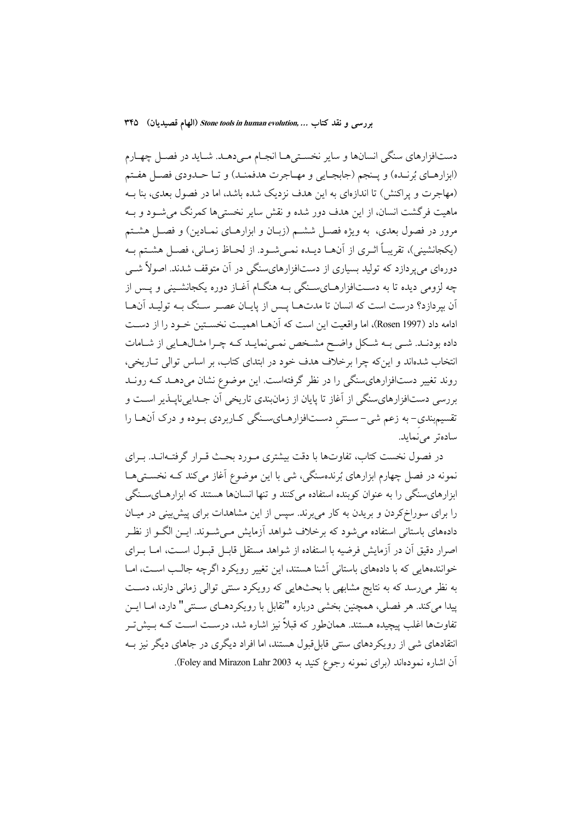دستافزارهای سنگی انسانها و سایر نخستیها انجـام مـی۵هــد. شــاید در فصــل چهــارم (ابزارهـاي بُرنـده) و يـنجم (جابجـايي و مهـاجرت هدفمنـد) و تـا حـدودي فصـل هفـتم (مهاجرت و پراکنش) تا اندازهای به این هدف نزدیک شده باشد، اما در فصول بعدی، بنا بـه ماهيت فرگشت انسان، از اين هدف دور شده و نقش ساير نخستيها كمرنگ مي شـود و بـه مرور در فصول بعدی، به ویژه فصـل ششـم (زبـان و ابزارهـای نمـادین) و فصـل هشـتم (يكجانشيني)، تقريبـاً اثـري از آنهـا ديـده نمـي شـود. از لحـاظ زمـاني، فصـل هشـتم بـه دورهای میپردازد که تولید بسیاری از دستافزارهایسنگی در آن متوقف شدند. اصولاً شبی چه لزومی دیده تا به دســتافزارهــایســنگی بــه هنگــام آغــاز دوره یکجانشــینی و پــس از اّن بپردازد؟ درست است كه انسان تا مدتهـا پـس از پايـان عصـر سـنگ بـه توليـد آنهـا ادامه داد (Rosen 1997)، اما واقعیت این است که آنهـا اهمیـت نخسـتین خـود را از دسـت داده بودنـد. شـي بــه شـكل واضـح مشـخص نمـينمايــد كــه چـرا مثــالهــايي از شــامات انتخاب شدهاند و این که چرا برخلاف هدف خود در ابتدای کتاب، بر اساس توالی تباریخی، روند تغییر دستافزارهای سنگی را در نظر گرفتهاست. این موضوع نشان میدهـد کـه رونـد بررسی دستافزارهایسنگی از آغاز تا پایان از زمانبندی تاریخی آن جـداییناپــذیر اســت و تقسیم.بندی- به زعم شی- سـنتی دسـتافزارهـایسـنگی کـاربردی بـوده و درک آنهــا را سادەتر مى نمايد.

در فصول نخست کتاب، تفاوتها با دقت بیشتری مـورد بحـث قـرار گرفتـهانـد. بـرای نمونه در فصل چهارم ابزارهای بُرندهسنگی، شی با این موضوع آغاز میکند کـه نخســتیهــا ابزارهای سنگی را به عنوان کوبنده استفاده می کنند و تنها انسانها هستند که ابزارهـایسـنگی را برای سوراخ کردن و بریدن به کار میبرند. سپس از این مشاهدات برای پیشبینی در میـان دادههای باستانی استفاده می شود که برخلاف شواهد آزمایش مـی شـوند. ایــن الگــو از نظـر اصرار دقیق آن در آزمایش فرضیه با استفاده از شواهد مستقل قابـل قبـول اسـت، امـا بـرای خوانندههایی که با دادههای باستانی آشنا هستند، این تغییر رویکرد اگرچه جالب است، امــا به نظر می رسد که به نتایج مشابهی با بحثهایی که رویکرد سنتی توالی زمانی دارند، دست پيدا مي كند. هر فصلي، همچنين بخشي درباره "تقابل با رويكردهــاي ســنتي" دارد، امــا ايــن تفاوتها اغلب پیچیده هستند. همانطور که قبلاً نیز اشاره شد، درسـت اسـت کـه بـیش تـر انتقادهای شی از رویکردهای سنتی قابل قبول هستند، اما افراد دیگری در جاهای دیگر نیز بـه آن اشاره نمودهاند (برای نمونه رجوع کنید به Foley and Mirazon Lahr 2003).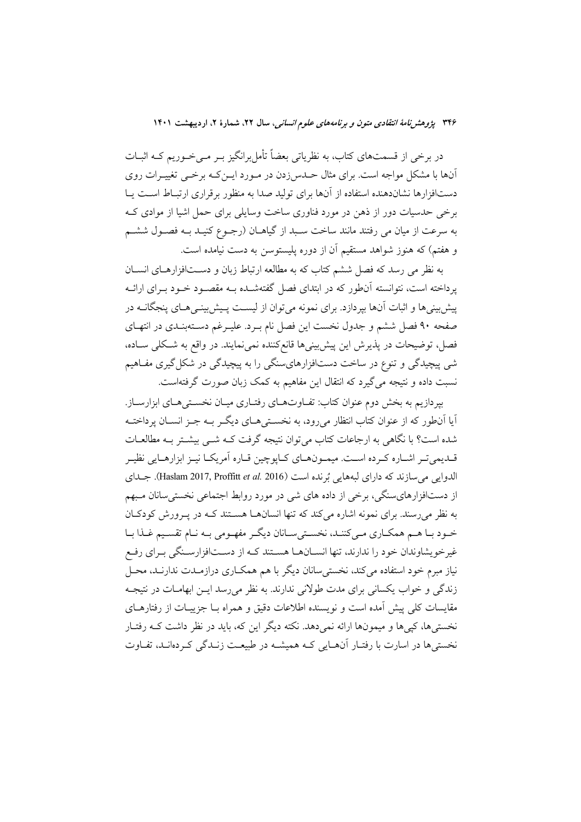در برخی از قسمتهای کتاب، به نظریاتی بعضاً تأمل برانگیز بــر مــیخــوریم کــه اثبــات آنها با مشکل مواجه است. برای مثال حــدس(دن در مــورد ایــنکـه برخــی تغییــرات روی دستافزارها نشاندهنده استفاده از آنها برای تولید صدا به منظور برقراری ارتبـاط اسـت پـا برخی حدسیات دور از ذهن در مورد فناوری ساخت وسایلی برای حمل اشیا از موادی ک به سرعت از میان می رفتند مانند ساخت سـبد از گیاهــان (رجــوع کنیــد بــه فصــول ششــم و هفتم) که هنوز شواهد مستقیم آن از دوره پلیستوسن به دست نیامده است.

به نظر می رسد که فصل ششم کتاب که به مطالعه ارتباط زبان و دســتافزارهــای انســان یرداخته است، نتوانسته آنطور که در ابتدای فصل گفتهشـده بـه مقصـود خـود بـرای ارائـه پیش بینی ها و اثبات آنها بیردازد. برای نمونه می توان از لیسـت پـیش بینـی هـای پنجگانــه در صفحه ۹۰ فصل ششم و جدول نخست این فصل نام بـرد. علیـرغم دسـتهبنـدی در انتهـای فصل، توضیحات در پذیرش این پیش بینیها قانع کننده نمی نمایند. در واقع به شـکلی سـاده، شي پيچيدگي و تنوع در ساخت دستافزارهايسنگي را به پيچيدگي در شکل گيري مفـاهيم نسبت داده و نتیجه می گیرد که انتقال این مفاهیم به کمک زبان صورت گرفتهاست.

بیردازیم به بخش دوم عنوان کتاب: تفیاوتهیای رفتیاری میبان نخسته هیای ایزارسیاز. آیا آنطور که از عنوان کتاب انتظار میرود، به نخســتیهــای دیگــر بــه جــز انســان پرداختــه شده است؟ با نگاهی به ارجاعات کتاب می توان نتیجه گرفت کــه شــی بیشــتر بــه مطالعــات قـدیمیتـر اشـاره کـرده اسـت. میمـونهـای کـایوچین قـاره اَمریکـا نیـز ابزارهـایی نظیـر الدوايي مي سازند كه داراي لبههايي بُرنده است (Haslam 2017, Proffitt et al. 2016). جــداي از دستافزارهای سنگی، برخی از داده های شی در مورد روابط اجتماعی نخستی سانان مبهم به نظر می رسند. برای نمونه اشاره می کند که تنها انسانها هستند کـه در پـرورش کودکـان خـود بـا هـم همكـاري مـي كننـد، نخسـتي سـانان ديگـر مفهـومي بـه نـام تقسـيم غـذا بـا غیر خویشاوندان خود را ندارند، تنها انســانهــا هســتند کــه از دســتافزارســنگی بــرای رفــع نیاز مبرم خود استفاده می کند، نخستی سانان دیگر با هم همکــاری درازمــدت ندارنــد، محــل زندگی و خواب یکسانی برای مدت طولانی ندارند. به نظر می رسد ایـن ابهامـات در نتیجـه مقایسات کلی پیش آمده است و نویسنده اطلاعات دقیق و همراه بــا جزییــات از رفتارهــای نخستیها، کییها و میمونها ارائه نمی دهد. نکته دیگر این که، باید در نظر داشت کـه رفتـار نخستی ها در اسارت با رفتـار آنهـایی کـه همیشـه در طبیعـت زنـدگی کـردهانـد، تفـاوت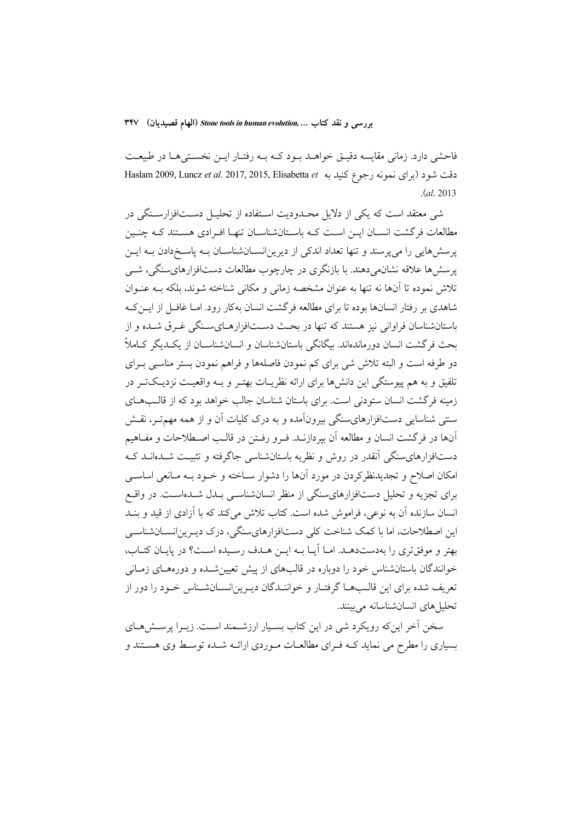بررسی و نقد کتاب ... Stone tools in human evolution (الهام قصیدیان) ٣۴٧

فاحشی دارد. زمانی مقایسه دقیـق خواهـد بـود کـه بـه رفتـار ایـن نخسـتیهـا در طبیعـت دقت شود (برای نمونه رجوع کنید به Haslam 2009, Luncz et al. 2017, 2015, Elisabetta et  $(a1, 2013)$ 

شی معتقد است که یکی از دلایل محـدودیت اسـتفاده از تحلیـل دســتافزارسـنگی در مطالعات فرگشت انسـان ايـن اسـت كـه باسـتانشناسـان تنهـا افـرادي هسـتند كـه چنـين یرسشهایی را می پرسند و تنها تعداد اندکی از دیرینانسـانشناسـان بـه پاسـخدادن بـه ایــن یرسشها علاقه نشانمی دهند. با بازنگری در چارچوب مطالعات دستافزارهای سنگی، شبی تلاش نموده تا آنها نه تنها به عنوان مشخصه زمانی و مکانی شناخته شوند، بلکه بــه عنــوان شاهدی بر رفتار انسانها بوده تا برای مطالعه فرگشت انسان بهکار رود. امـا غافـل از ایــن کــه باستانشناسان فراوانی نیز هستند که تنها در بحث دســتافزارهــای ســنگه ٍ غــرق شــده و از بحث فرگشت انسان دورماندهاند. بیگانگی باستانشناسان و انسانشناســان از یکــدیگر کــاملاً دو طرفه است و البته تلاش شي براي كم نمودن فاصلهها و فراهم نمودن بستر مناسبي بـراي تلفیق و به هم پیوستگی این دانشها برای ارائه نظریــات بهتــر و بــه واقعیــت نزدیــکتــر در زمینه فرگشت انسان ستودنی است. برای باستان شناسان جالب خواهد بود که از قالـبهـای سنتمی شناسایی دستافزارهای سنگی بیرونآمده و به درک کلیات آن و از همه مهم تـر، نقـش آنها در فرگشت انسان و مطالعه آن بپردازنـد. فـرو رفـتن در قالـب اصـطلاحات و مفـاهيم دستافزارهای سنگی آنقدر در روش و نظریه باستانشناسی جاگرفته و تثبیت شـدهانــد کــه امکان اصلاح و تجدیدنظرکردن در مورد آنها را دشوار سـاخته و خـود بـه مـانعی اساســی برای تجزیه و تحلیل دستافزارهای سنگی از منظر انسان شناسبی بـدل شـدهاسـت. در واقــع انسان سازنده آن به نوعی، فراموش شده است. کتاب تلاش میکند که با آزادی از قید و بنـد این اصطلاحات، اما با کمک شناخت کلی دستافزارهایسنگی، درک دیـرین|نسـانشناسـی بهتر و موفق تری را بهدستدهـد. امـا آيـا بـه ايـن هـدف رسـيده اسـت؟ در يايـان كتـاب، خوانندگان باستانشناس خود را دوباره در قالبهای از پیش تعیین شـده و دورههـای زمـانی تعریف شده برای این قالـبهـا گرفتـار و خواننـدگان دیـرین|نســانشـناس خـود را دور از تحلیل های انسان شناسانه می بینند.

سخن آخر اینکه رویکرد شی در این کتاب بسـیار ارزشــمند اسـت. زیــرا پرســش۱صای بسیاری را مطرح می نماید کـه فـرای مطالعـات مـوردی ارائـه شـده توسـط وی هســتند و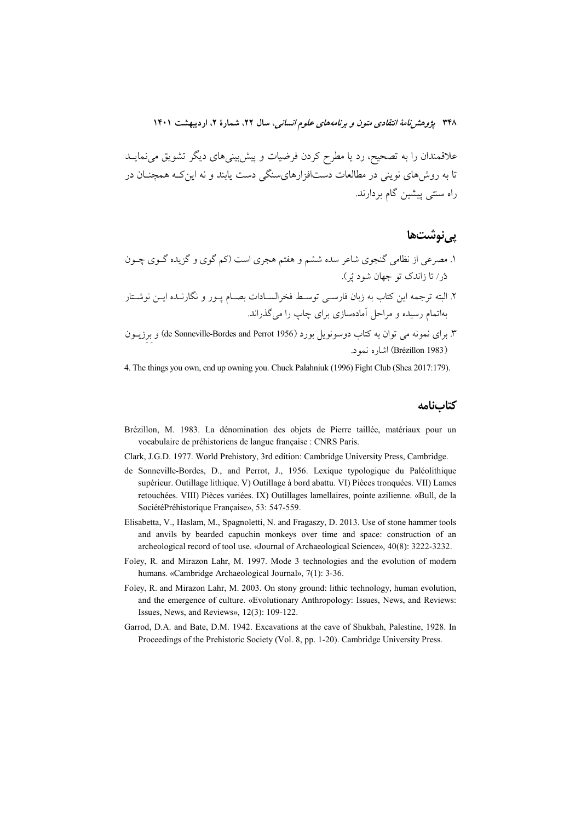علاقمندان را به تصحیح، رد یا مطرح کردن فرضیات و پیش بینیهای دیگر تشویق می نمایــد تا به روش۵ای نوینی در مطالعات دستافزارهایسنگی دست یابند و نه این کـه همچنــان در راه سنتي پيشين گام بردارند.

### یے نوشتھا

- ۱. مصرعی از نظامی گنجوی شاعر سده ششم و هفتم هجری است (کم گوی و گزیده گــوی چــون دُر/ تا زاندک تو جهان شود پُر).
- ۲. البته ترجمه این کتاب به زبان فارسـی توسـط فخرالســادات بصــام پــور و نگارنــده ایــن نوشــتار بهاتمام رسیده و مراحل آمادهسازی برای چاپ را میگذراند.
- ۳. برای نمونه می توان به کتاب دوسونویل بورد (Ge Sonneville-Bordes and Perrot 1956) و برزیــون (Brézillon 1983) اشاره نمود.

4. The things you own, end up owning you. Chuck Palahniuk (1996) Fight Club (Shea 2017:179).

كتابنامه

- Brézillon, M. 1983. La dénomination des objets de Pierre taillée, matériaux pour un vocabulaire de préhistoriens de langue française : CNRS Paris.
- Clark, J.G.D. 1977. World Prehistory, 3rd edition: Cambridge University Press, Cambridge.
- de Sonneville-Bordes, D., and Perrot, J., 1956. Lexique typologique du Paléolithique supérieur. Outillage lithique. V) Outillage à bord abattu. VI) Pièces tronquées. VII) Lames retouchées. VIII) Pièces variées. IX) Outillages lamellaires, pointe azilienne. «Bull, de la SociétéPréhistorique Française», 53: 547-559.
- Elisabetta, V., Haslam, M., Spagnoletti, N. and Fragaszy, D. 2013. Use of stone hammer tools and anvils by bearded capuchin monkeys over time and space: construction of an archeological record of tool use. «Journal of Archaeological Science», 40(8): 3222-3232.
- Foley, R. and Mirazon Lahr, M. 1997. Mode 3 technologies and the evolution of modern humans. «Cambridge Archaeological Journal», 7(1): 3-36.
- Foley, R. and Mirazon Lahr, M. 2003. On stony ground: lithic technology, human evolution, and the emergence of culture. «Evolutionary Anthropology: Issues, News, and Reviews: Issues, News, and Reviews», 12(3): 109-122.
- Garrod, D.A. and Bate, D.M. 1942. Excavations at the cave of Shukbah, Palestine, 1928. In Proceedings of the Prehistoric Society (Vol. 8, pp. 1-20). Cambridge University Press.